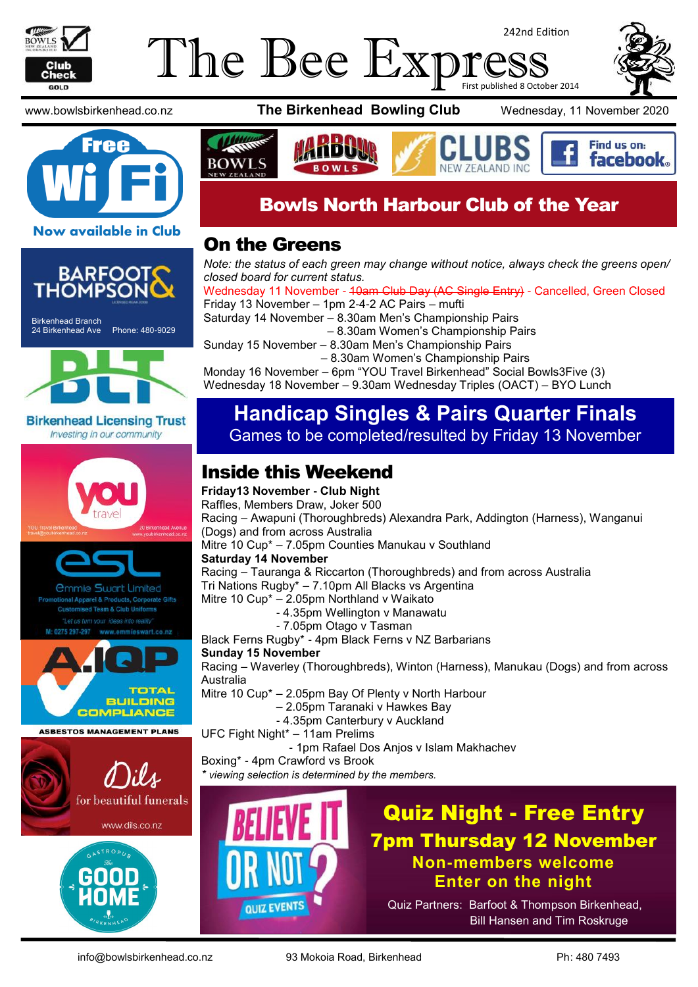

#### The Bee Expi 242nd Edition First published 8 October 2014





Birkenhead Branch 24 Birkenhead Ave Phone: 480-9029



**Birkenhead Licensing Trust** Investing in our community



*<u>Ommie Swart Limited</u>* rel & Products, Corporate Gifts Team & Club Uniforms



**ASBESTOS MANAGEMENT PLANS** 





www.bowlsbirkenhead.co.nz **The Birkenhead Bowling Club** Wednesday, 11 November 2020

Find us on: facebook.



## Bowls North Harbour Club of the Year

#### On the Greens

*Note: the status of each green may change without notice, always check the greens open/ closed board for current status.*

Wednesday 11 November - 40am Club Day (AC Single Entry) - Cancelled, Green Closed Friday 13 November – 1pm 2-4-2 AC Pairs – mufti

Saturday 14 November – 8.30am Men's Championship Pairs

– 8.30am Women's Championship Pairs

Sunday 15 November – 8.30am Men's Championship Pairs

– 8.30am Women's Championship Pairs

Monday 16 November – 6pm "YOU Travel Birkenhead" Social Bowls3Five (3) Wednesday 18 November – 9.30am Wednesday Triples (OACT) – BYO Lunch

#### **Handicap Singles & Pairs Quarter Finals** Games to be completed/resulted by Friday 13 November

### Inside this Weekend

**Friday13 November - Club Night**

Raffles, Members Draw, Joker 500 Racing – Awapuni (Thoroughbreds) Alexandra Park, Addington (Harness), Wanganui (Dogs) and from across Australia

Mitre 10 Cup\* – 7.05pm Counties Manukau v Southland

#### **Saturday 14 November**

Racing – Tauranga & Riccarton (Thoroughbreds) and from across Australia

Tri Nations Rugby\* – 7.10pm All Blacks vs Argentina

Mitre 10 Cup\* – 2.05pm Northland v Waikato

- 4.35pm Wellington v Manawatu
	- 7.05pm Otago v Tasman

Black Ferns Rugby\* - 4pm Black Ferns v NZ Barbarians

#### **Sunday 15 November**

Racing – Waverley (Thoroughbreds), Winton (Harness), Manukau (Dogs) and from across Australia

Mitre 10 Cup\* – 2.05pm Bay Of Plenty v North Harbour

- 2.05pm Taranaki v Hawkes Bay
- 4.35pm Canterbury v Auckland

UFC Fight Night\* – 11am Prelims

- 1pm Rafael Dos Anjos v Islam Makhachev

Boxing\* - 4pm Crawford vs Brook

*\* viewing selection is determined by the members.*



Quiz Night - Free Entry 7pm Thursday 12 November **Non-members welcome Enter on the night**

Quiz Partners: Barfoot & Thompson Birkenhead, Bill Hansen and Tim Roskruge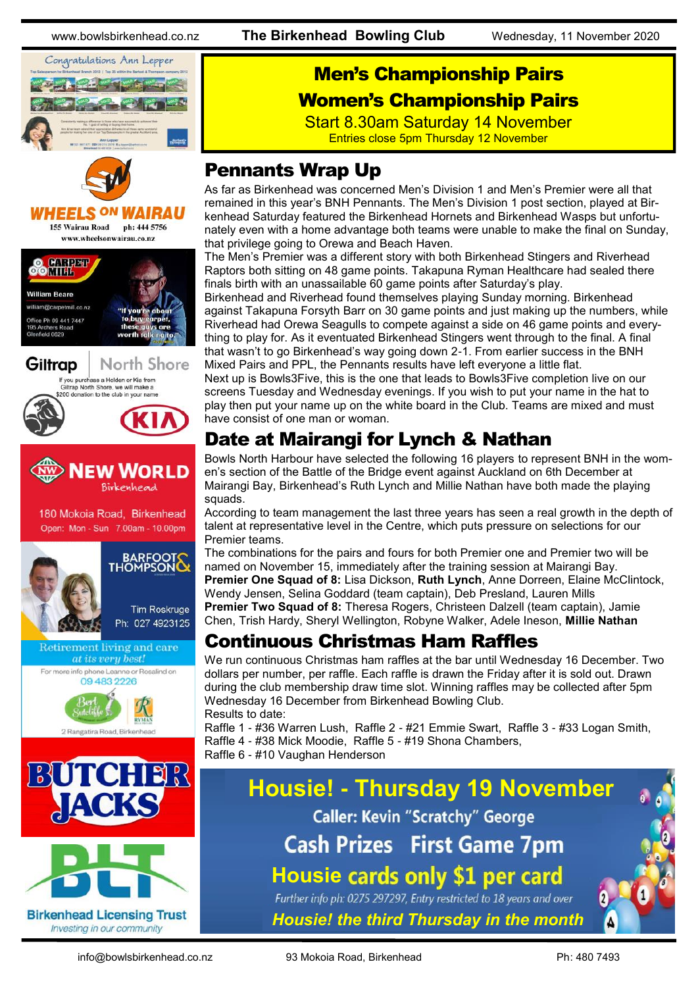

Men's Championship Pairs

#### Women's Championship Pairs

Start 8.30am Saturday 14 November Entries close 5pm Thursday 12 November

### Pennants Wrap Up

As far as Birkenhead was concerned Men's Division 1 and Men's Premier were all that remained in this year's BNH Pennants. The Men's Division 1 post section, played at Birkenhead Saturday featured the Birkenhead Hornets and Birkenhead Wasps but unfortunately even with a home advantage both teams were unable to make the final on Sunday, that privilege going to Orewa and Beach Haven.

The Men's Premier was a different story with both Birkenhead Stingers and Riverhead Raptors both sitting on 48 game points. Takapuna Ryman Healthcare had sealed there finals birth with an unassailable 60 game points after Saturday's play.

Birkenhead and Riverhead found themselves playing Sunday morning. Birkenhead against Takapuna Forsyth Barr on 30 game points and just making up the numbers, while Riverhead had Orewa Seagulls to compete against a side on 46 game points and everything to play for. As it eventuated Birkenhead Stingers went through to the final. A final that wasn't to go Birkenhead's way going down 2-1. From earlier success in the BNH Mixed Pairs and PPL, the Pennants results have left everyone a little flat.

Next up is Bowls3Five, this is the one that leads to Bowls3Five completion live on our screens Tuesday and Wednesday evenings. If you wish to put your name in the hat to play then put your name up on the white board in the Club. Teams are mixed and must have consist of one man or woman.

## Date at Mairangi for Lynch & Nathan

Bowls North Harbour have selected the following 16 players to represent BNH in the women's section of the Battle of the Bridge event against Auckland on 6th December at Mairangi Bay, Birkenhead's Ruth Lynch and Millie Nathan have both made the playing squads.

According to team management the last three years has seen a real growth in the depth of talent at representative level in the Centre, which puts pressure on selections for our Premier teams.

The combinations for the pairs and fours for both Premier one and Premier two will be named on November 15, immediately after the training session at Mairangi Bay. **Premier One Squad of 8:** Lisa Dickson, **Ruth Lynch**, Anne Dorreen, Elaine McClintock, Wendy Jensen, Selina Goddard (team captain), Deb Presland, Lauren Mills **Premier Two Squad of 8:** Theresa Rogers, Christeen Dalzell (team captain), Jamie Chen, Trish Hardy, Sheryl Wellington, Robyne Walker, Adele Ineson, **Millie Nathan**

#### Continuous Christmas Ham Raffles

We run continuous Christmas ham raffles at the bar until Wednesday 16 December. Two dollars per number, per raffle. Each raffle is drawn the Friday after it is sold out. Drawn during the club membership draw time slot. Winning raffles may be collected after 5pm Wednesday 16 December from Birkenhead Bowling Club. Results to date:

Raffle 1 - #36 Warren Lush, Raffle 2 - #21 Emmie Swart, Raffle 3 - #33 Logan Smith, Raffle 4 - #38 Mick Moodie, Raffle 5 - #19 Shona Chambers, Raffle 6 - #10 Vaughan Henderson



**Birkenhead Licensing Trust** Investing in our community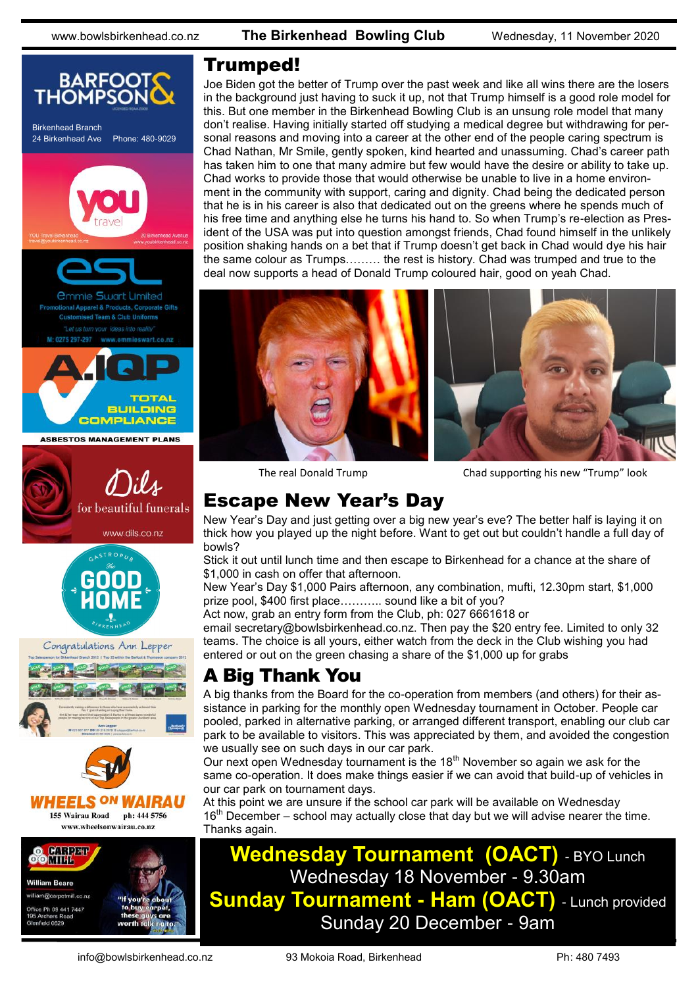

# @carpetmill.co.na e Ph 09 441 7447

#### Trumped!

Joe Biden got the better of Trump over the past week and like all wins there are the losers in the background just having to suck it up, not that Trump himself is a good role model for this. But one member in the Birkenhead Bowling Club is an unsung role model that many don't realise. Having initially started off studying a medical degree but withdrawing for personal reasons and moving into a career at the other end of the people caring spectrum is Chad Nathan, Mr Smile, gently spoken, kind hearted and unassuming. Chad's career path has taken him to one that many admire but few would have the desire or ability to take up. Chad works to provide those that would otherwise be unable to live in a home environment in the community with support, caring and dignity. Chad being the dedicated person that he is in his career is also that dedicated out on the greens where he spends much of his free time and anything else he turns his hand to. So when Trump's re-election as President of the USA was put into question amongst friends, Chad found himself in the unlikely position shaking hands on a bet that if Trump doesn't get back in Chad would dye his hair the same colour as Trumps……… the rest is history. Chad was trumped and true to the deal now supports a head of Donald Trump coloured hair, good on yeah Chad.



The real Donald Trump

Chad supporting his new "Trump" look

#### Escape New Year's Day

New Year's Day and just getting over a big new year's eve? The better half is laying it on thick how you played up the night before. Want to get out but couldn't handle a full day of bowls?

Stick it out until lunch time and then escape to Birkenhead for a chance at the share of \$1,000 in cash on offer that afternoon.

New Year's Day \$1,000 Pairs afternoon, any combination, mufti, 12.30pm start, \$1,000 prize pool, \$400 first place……….. sound like a bit of you?

Act now, grab an entry form from the Club, ph: 027 6661618 or

email [secretary@bowlsbirkenhead.co.nz.](mailto:secretary@bowlsbirkenhead.co.nz) Then pay the \$20 entry fee. Limited to only 32 teams. The choice is all yours, either watch from the deck in the Club wishing you had entered or out on the green chasing a share of the \$1,000 up for grabs

### A Big Thank You

A big thanks from the Board for the co-operation from members (and others) for their assistance in parking for the monthly open Wednesday tournament in October. People car pooled, parked in alternative parking, or arranged different transport, enabling our club car park to be available to visitors. This was appreciated by them, and avoided the congestion we usually see on such days in our car park.

Our next open Wednesday tournament is the 18<sup>th</sup> November so again we ask for the same co-operation. It does make things easier if we can avoid that build-up of vehicles in our car park on tournament days.

At this point we are unsure if the school car park will be available on Wednesday  $16<sup>th</sup>$  December – school may actually close that day but we will advise nearer the time. Thanks again.

### **Wednesday Tournament (OACT)** - BYO Lunch Wednesday 18 November - 9.30am **Sunday Tournament - Ham (OACT)** - Lunch provided Sunday 20 December - 9am

eld 0820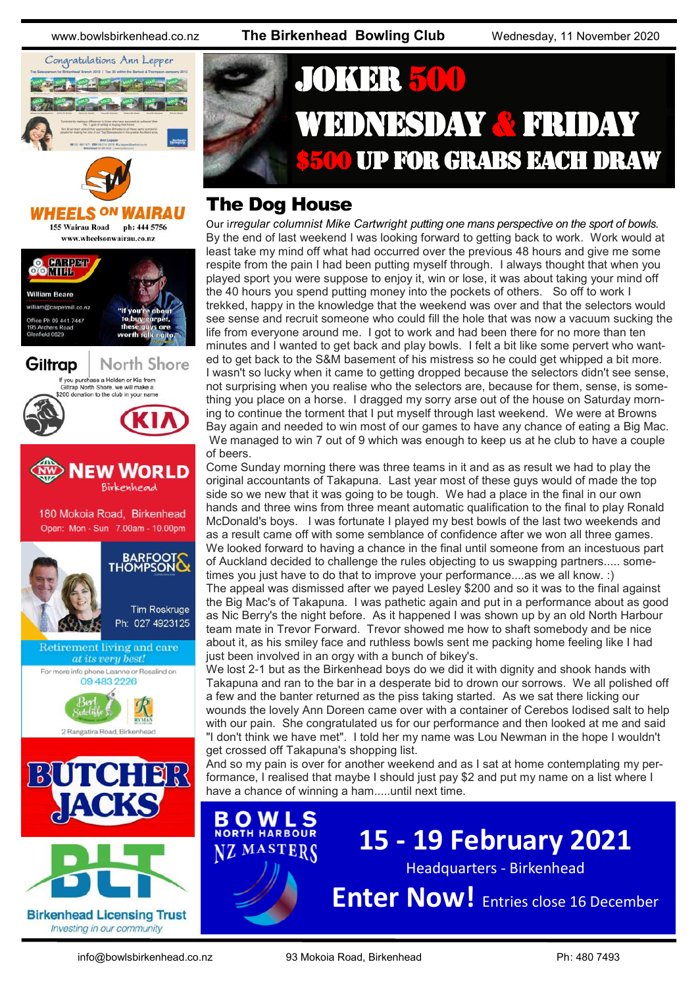

# JOKER 500 WEDNESDAY & FRIDAY **\$500 UP FOR GRABS EACH DRAW**

#### The Dog House

Our i*rregular columnist Mike Cartwright putting one mans perspective on the sport of bowls.* By the end of last weekend I was looking forward to getting back to work. Work would at least take my mind off what had occurred over the previous 48 hours and give me some respite from the pain I had been putting myself through. I always thought that when you played sport you were suppose to enjoy it, win or lose, it was about taking your mind off the 40 hours you spend putting money into the pockets of others. So off to work I trekked, happy in the knowledge that the weekend was over and that the selectors would see sense and recruit someone who could fill the hole that was now a vacuum sucking the life from everyone around me. I got to work and had been there for no more than ten minutes and I wanted to get back and play bowls. I felt a bit like some pervert who wanted to get back to the S&M basement of his mistress so he could get whipped a bit more. I wasn't so lucky when it came to getting dropped because the selectors didn't see sense, not surprising when you realise who the selectors are, because for them, sense, is something you place on a horse. I dragged my sorry arse out of the house on Saturday morning to continue the torment that I put myself through last weekend. We were at Browns Bay again and needed to win most of our games to have any chance of eating a Big Mac. We managed to win 7 out of 9 which was enough to keep us at he club to have a couple of beers.

Come Sunday morning there was three teams in it and as as result we had to play the original accountants of Takapuna. Last year most of these guys would of made the top side so we new that it was going to be tough. We had a place in the final in our own hands and three wins from three meant automatic qualification to the final to play Ronald McDonald's boys. I was fortunate I played my best bowls of the last two weekends and as a result came off with some semblance of confidence after we won all three games. We looked forward to having a chance in the final until someone from an incestuous part of Auckland decided to challenge the rules objecting to us swapping partners..... sometimes you just have to do that to improve your performance....as we all know. :) The appeal was dismissed after we payed Lesley \$200 and so it was to the final against the Big Mac's of Takapuna. I was pathetic again and put in a performance about as good as Nic Berry's the night before. As it happened I was shown up by an old North Harbour team mate in Trevor Forward. Trevor showed me how to shaft somebody and be nice about it, as his smiley face and ruthless bowls sent me packing home feeling like I had

just been involved in an orgy with a bunch of bikey's. We lost 2-1 but as the Birkenhead boys do we did it with dignity and shook hands with Takapuna and ran to the bar in a desperate bid to drown our sorrows. We all polished off a few and the banter returned as the piss taking started. As we sat there licking our wounds the lovely Ann Doreen came over with a container of Cerebos Iodised salt to help with our pain. She congratulated us for our performance and then looked at me and said "I don't think we have met". I told her my name was Lou Newman in the hope I wouldn't get crossed off Takapuna's shopping list.

And so my pain is over for another weekend and as I sat at home contemplating my performance, I realised that maybe I should just pay \$2 and put my name on a list where I have a chance of winning a ham.....until next time.

O W I **NORTH HARBOUR NZ MASTERS** 

**15 - 19 February 2021**

Headquarters - Birkenhead

**Enter Now!** Entries close 16 December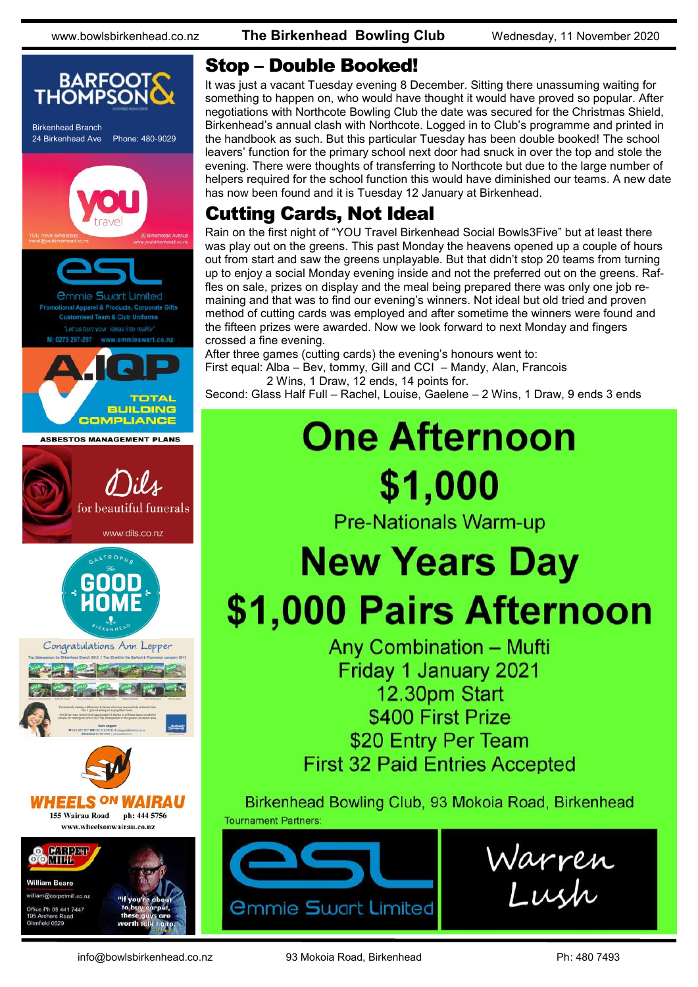

#### Stop – Double Booked!

It was just a vacant Tuesday evening 8 December. Sitting there unassuming waiting for something to happen on, who would have thought it would have proved so popular. After negotiations with Northcote Bowling Club the date was secured for the Christmas Shield, Birkenhead's annual clash with Northcote. Logged in to Club's programme and printed in the handbook as such. But this particular Tuesday has been double booked! The school leavers' function for the primary school next door had snuck in over the top and stole the evening. There were thoughts of transferring to Northcote but due to the large number of helpers required for the school function this would have diminished our teams. A new date has now been found and it is Tuesday 12 January at Birkenhead.

### Cutting Cards, Not Ideal

Rain on the first night of "YOU Travel Birkenhead Social Bowls3Five" but at least there was play out on the greens. This past Monday the heavens opened up a couple of hours out from start and saw the greens unplayable. But that didn't stop 20 teams from turning up to enjoy a social Monday evening inside and not the preferred out on the greens. Raffles on sale, prizes on display and the meal being prepared there was only one job remaining and that was to find our evening's winners. Not ideal but old tried and proven method of cutting cards was employed and after sometime the winners were found and the fifteen prizes were awarded. Now we look forward to next Monday and fingers crossed a fine evening.

After three games (cutting cards) the evening's honours went to: First equal: Alba – Bev, tommy, Gill and CCI – Mandy, Alan, Francois 2 Wins, 1 Draw, 12 ends, 14 points for.

Second: Glass Half Full – Rachel, Louise, Gaelene – 2 Wins, 1 Draw, 9 ends 3 ends

# **One Afternoon** \$1,000

**Pre-Nationals Warm-up** 

# **New Years Day** \$1,000 Pairs Afternoon

**Any Combination - Mufti** Friday 1 January 2021 12.30pm Start \$400 First Prize \$20 Entry Per Team **First 32 Paid Entries Accepted** 

Birkenhead Bowling Club, 93 Mokoia Road, Birkenhead **Tournament Partners**